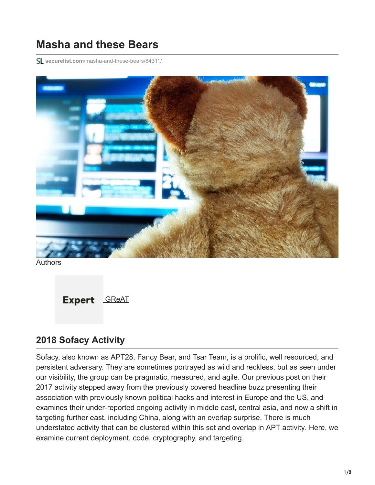# **Masha and these Bears**

**securelist.com**[/masha-and-these-bears/84311/](https://securelist.com/masha-and-these-bears/84311/)



**Authors** 



## **2018 Sofacy Activity**

Sofacy, also known as APT28, Fancy Bear, and Tsar Team, is a prolific, well resourced, and persistent adversary. They are sometimes portrayed as wild and reckless, but as seen under our visibility, the group can be pragmatic, measured, and agile. Our previous post on their 2017 activity stepped away from the previously covered headline buzz presenting their association with previously known political hacks and interest in Europe and the US, and examines their under-reported ongoing activity in middle east, central asia, and now a shift in targeting further east, including China, along with an overlap surprise. There is much understated activity that can be clustered within this set and overlap in [APT activity.](https://encyclopedia.kaspersky.com/glossary/apt-advanced-persistent-threats/?utm_source=securelist&utm_medium=blog&utm_campaign=termin-explanation) Here, we examine current deployment, code, cryptography, and targeting.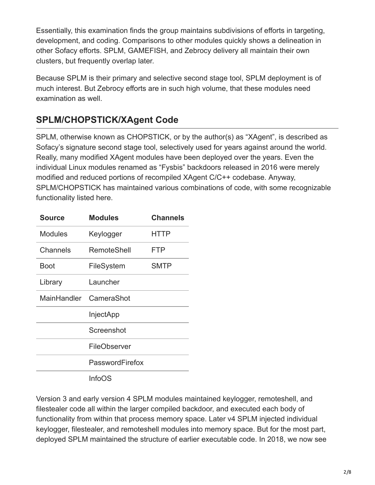Essentially, this examination finds the group maintains subdivisions of efforts in targeting, development, and coding. Comparisons to other modules quickly shows a delineation in other Sofacy efforts. SPLM, GAMEFISH, and Zebrocy delivery all maintain their own clusters, but frequently overlap later.

Because SPLM is their primary and selective second stage tool, SPLM deployment is of much interest. But Zebrocy efforts are in such high volume, that these modules need examination as well.

# **SPLM/CHOPSTICK/XAgent Code**

SPLM, otherwise known as CHOPSTICK, or by the author(s) as "XAgent", is described as Sofacy's signature second stage tool, selectively used for years against around the world. Really, many modified XAgent modules have been deployed over the years. Even the individual Linux modules renamed as "Fysbis" backdoors released in 2016 were merely modified and reduced portions of recompiled XAgent C/C++ codebase. Anyway, SPLM/CHOPSTICK has maintained various combinations of code, with some recognizable functionality listed here.

| <b>Source</b>  | <b>Modules</b>         | <b>Channels</b> |
|----------------|------------------------|-----------------|
| <b>Modules</b> | Keylogger              | HTTP            |
| Channels       | RemoteShell            | FTP             |
| Boot           | FileSystem             | <b>SMTP</b>     |
| Library        | Launcher               |                 |
|                | MainHandler CameraShot |                 |
|                | InjectApp              |                 |
|                | Screenshot             |                 |
|                | FileObserver           |                 |
|                | PasswordFirefox        |                 |
|                | InfoOS                 |                 |

Version 3 and early version 4 SPLM modules maintained keylogger, remoteshell, and filestealer code all within the larger compiled backdoor, and executed each body of functionality from within that process memory space. Later v4 SPLM injected individual keylogger, filestealer, and remoteshell modules into memory space. But for the most part, deployed SPLM maintained the structure of earlier executable code. In 2018, we now see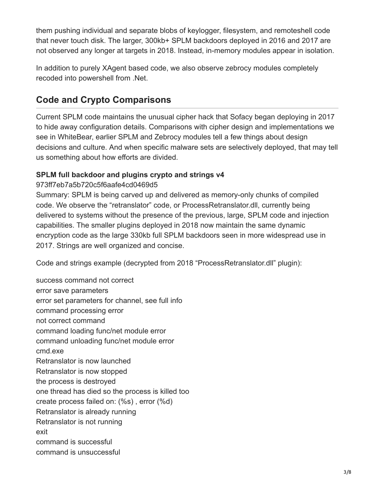them pushing individual and separate blobs of keylogger, filesystem, and remoteshell code that never touch disk. The larger, 300kb+ SPLM backdoors deployed in 2016 and 2017 are not observed any longer at targets in 2018. Instead, in-memory modules appear in isolation.

In addition to purely XAgent based code, we also observe zebrocy modules completely recoded into powershell from .Net.

# **Code and Crypto Comparisons**

Current SPLM code maintains the unusual cipher hack that Sofacy began deploying in 2017 to hide away configuration details. Comparisons with cipher design and implementations we see in WhiteBear, earlier SPLM and Zebrocy modules tell a few things about design decisions and culture. And when specific malware sets are selectively deployed, that may tell us something about how efforts are divided.

## **SPLM full backdoor and plugins crypto and strings v4**

### 973ff7eb7a5b720c5f6aafe4cd0469d5

Summary: SPLM is being carved up and delivered as memory-only chunks of compiled code. We observe the "retranslator" code, or ProcessRetranslator.dll, currently being delivered to systems without the presence of the previous, large, SPLM code and injection capabilities. The smaller plugins deployed in 2018 now maintain the same dynamic encryption code as the large 330kb full SPLM backdoors seen in more widespread use in 2017. Strings are well organized and concise.

Code and strings example (decrypted from 2018 "ProcessRetranslator.dll" plugin):

success command not correct error save parameters error set parameters for channel, see full info command processing error not correct command command loading func/net module error command unloading func/net module error cmd.exe Retranslator is now launched Retranslator is now stopped the process is destroyed one thread has died so the process is killed too create process failed on: (%s) , error (%d) Retranslator is already running Retranslator is not running exit command is successful command is unsuccessful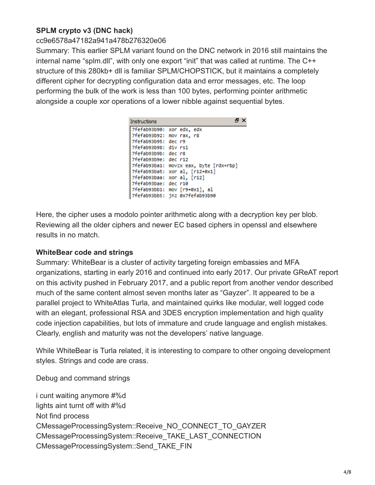### **SPLM crypto v3 (DNC hack)**

#### cc9e6578a47182a941a478b276320e06

Summary: This earlier SPLM variant found on the DNC network in 2016 still maintains the internal name "splm.dll", with only one export "init" that was called at runtime. The C++ structure of this 280kb+ dll is familiar SPLM/CHOPSTICK, but it maintains a completely different cipher for decrypting configuration data and error messages, etc. The loop performing the bulk of the work is less than 100 bytes, performing pointer arithmetic alongside a couple xor operations of a lower nibble against sequential bytes.

| <b>Instructions</b>       | A X                                    |
|---------------------------|----------------------------------------|
| 7fefab93b90: xor edx, edx |                                        |
| 7fefab93b92: mov rax, r8  |                                        |
| 7fefab93b95: dec r9       |                                        |
| 7fefab93b98: div rsi      |                                        |
| 7fefab93b9b: dec r8       |                                        |
| 7fefab93b9e: dec r12      |                                        |
|                           | 7fefab93ba1: movzx eax, byte [rdx+rbp] |
|                           | 7fefab93ba5: xor al, [r12+0x1]         |
|                           | 7fefab93baa: xor al, [r12]             |
| 7fefab93bae: dec r10      |                                        |
|                           | 7fefab93bb1: mov [r9+0x1], al          |
|                           | 7fefab93bb5: inz 0x7fefab93b90         |

Here, the cipher uses a modolo pointer arithmetic along with a decryption key per blob. Reviewing all the older ciphers and newer EC based ciphers in openssl and elsewhere results in no match.

#### **WhiteBear code and strings**

Summary: WhiteBear is a cluster of activity targeting foreign embassies and MFA organizations, starting in early 2016 and continued into early 2017. Our private GReAT report on this activity pushed in February 2017, and a public report from another vendor described much of the same content almost seven months later as "Gayzer". It appeared to be a parallel project to WhiteAtlas Turla, and maintained quirks like modular, well logged code with an elegant, professional RSA and 3DES encryption implementation and high quality code injection capabilities, but lots of immature and crude language and english mistakes. Clearly, english and maturity was not the developers' native language.

While WhiteBear is Turla related, it is interesting to compare to other ongoing development styles. Strings and code are crass.

Debug and command strings

i cunt waiting anymore #%d lights aint turnt off with #%d Not find process CMessageProcessingSystem::Receive\_NO\_CONNECT\_TO\_GAYZER CMessageProcessingSystem::Receive\_TAKE\_LAST\_CONNECTION CMessageProcessingSystem::Send\_TAKE\_FIN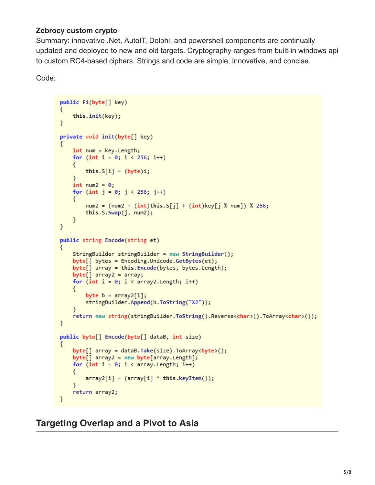#### **Zebrocy custom crypto**

Summary: innovative .Net, AutoIT, Delphi, and powershell components are continually updated and deployed to new and old targets. Cryptography ranges from built-in windows api to custom RC4-based ciphers. Strings and code are simple, innovative, and concise.

Code:

```
public Fi(byte[] key)
€
    this.init(key);
ł
private void init(byte[] key)
₹
    int num = key.length;for (int i = 0; i < 256; i++)€
        this.S[i] = (byte)i;ł
    int num2 = 0;for (int j = 0; j < 256; j++)€
        num2 = (num2 + (int) this.S[j] + (int)key[j % num]) % 256;this.S.Swap(j, num2);
    }
ł
public string Encode(string et)
    StringBuilder stringBuilder = new StringBuilder();
    byte[] bytes = Encoding.Unicode.GetBytes(et);
    byte[] array = this.Encode(bytes, bytes.Length);
    byte[] array2 = array;for (int i = 0; i < array2.length; i++)€
        byte b = array2[i];stringBuilder.Append(b.ToString("X2"));
    Y.
    return new string(stringBuilder.ToString().Reverse<char>().ToArray<char>());
\mathcal{F}public byte[] Encode(byte[] dataB, int size)
    byte[] array = dataB.Take(size).ToArray<br/>byte>();
    byte[] array2 = new byte[array.length];for (int i = 0; i < array. Length; i++)₹
        array2[i] = (array[i] \land this.keyItem());return array2;
ł
```
**Targeting Overlap and a Pivot to Asia**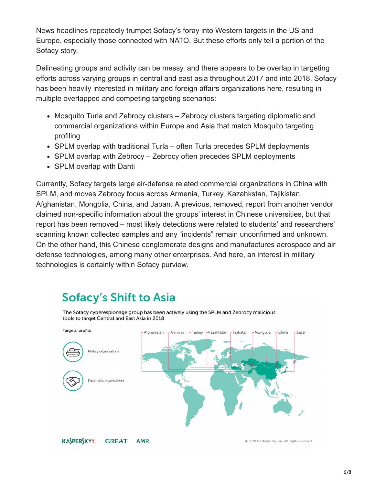News headlines repeatedly trumpet Sofacy's foray into Western targets in the US and Europe, especially those connected with NATO. But these efforts only tell a portion of the Sofacy story.

Delineating groups and activity can be messy, and there appears to be overlap in targeting efforts across varying groups in central and east asia throughout 2017 and into 2018. Sofacy has been heavily interested in military and foreign affairs organizations here, resulting in multiple overlapped and competing targeting scenarios:

- Mosquito Turla and Zebrocy clusters Zebrocy clusters targeting diplomatic and commercial organizations within Europe and Asia that match Mosquito targeting profiling
- SPLM overlap with traditional Turla often Turla precedes SPLM deployments
- SPLM overlap with Zebrocy Zebrocy often precedes SPLM deployments
- SPLM overlap with Danti

Currently, Sofacy targets large air-defense related commercial organizations in China with SPLM, and moves Zebrocy focus across Armenia, Turkey, Kazahkstan, Tajikistan, Afghanistan, Mongolia, China, and Japan. A previous, removed, report from another vendor claimed non-specific information about the groups' interest in Chinese universities, but that report has been removed – most likely detections were related to students' and researchers' scanning known collected samples and any "incidents" remain unconfirmed and unknown. On the other hand, this Chinese conglomerate designs and manufactures aerospace and air defense technologies, among many other enterprises. And here, an interest in military technologies is certainly within Sofacy purview.

# **Sofacy's Shift to Asia**

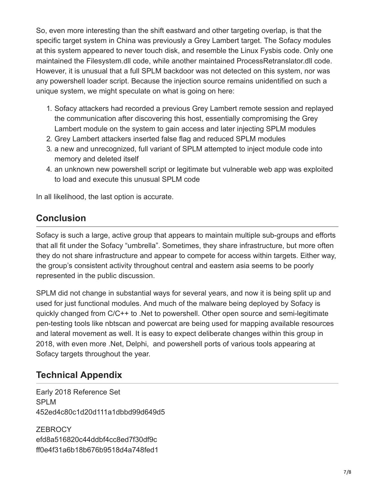So, even more interesting than the shift eastward and other targeting overlap, is that the specific target system in China was previously a Grey Lambert target. The Sofacy modules at this system appeared to never touch disk, and resemble the Linux Fysbis code. Only one maintained the Filesystem.dll code, while another maintained ProcessRetranslator.dll code. However, it is unusual that a full SPLM backdoor was not detected on this system, nor was any powershell loader script. Because the injection source remains unidentified on such a unique system, we might speculate on what is going on here:

- 1. Sofacy attackers had recorded a previous Grey Lambert remote session and replayed the communication after discovering this host, essentially compromising the Grey Lambert module on the system to gain access and later injecting SPLM modules
- 2. Grey Lambert attackers inserted false flag and reduced SPLM modules
- 3. a new and unrecognized, full variant of SPLM attempted to inject module code into memory and deleted itself
- 4. an unknown new powershell script or legitimate but vulnerable web app was exploited to load and execute this unusual SPLM code

In all likelihood, the last option is accurate.

## **Conclusion**

Sofacy is such a large, active group that appears to maintain multiple sub-groups and efforts that all fit under the Sofacy "umbrella". Sometimes, they share infrastructure, but more often they do not share infrastructure and appear to compete for access within targets. Either way, the group's consistent activity throughout central and eastern asia seems to be poorly represented in the public discussion.

SPLM did not change in substantial ways for several years, and now it is being split up and used for just functional modules. And much of the malware being deployed by Sofacy is quickly changed from C/C++ to .Net to powershell. Other open source and semi-legitimate pen-testing tools like nbtscan and powercat are being used for mapping available resources and lateral movement as well. It is easy to expect deliberate changes within this group in 2018, with even more .Net, Delphi, and powershell ports of various tools appearing at Sofacy targets throughout the year.

## **Technical Appendix**

Early 2018 Reference Set SPLM 452ed4c80c1d20d111a1dbbd99d649d5

**ZEBROCY** efd8a516820c44ddbf4cc8ed7f30df9c ff0e4f31a6b18b676b9518d4a748fed1